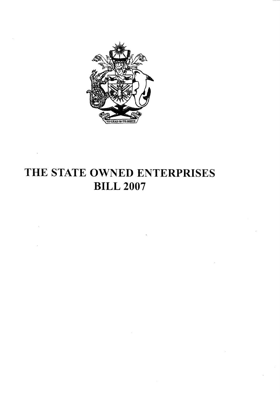

# THE STATE OWNED ENTERPRISES **BILL 2007**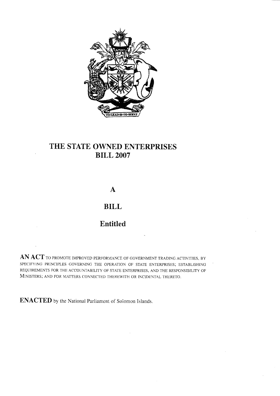

# THE STATE OWNED ENTERPRISES **BILL 2007**

 $\mathbf{A}$ 

# **BILL**

# Entitled

AN ACT TO PROMOTE IMPROVED PERFORMANCE OF GOVERNMENT TRADING ACTIVITIES, BY SPECIFYING PRINCIPLES GOVERNING THE OPERATION OF STATE ENTERPRISES; ESTABLISHING REQUIREMENTS FOR THE ACCOUNTABILITY OF STATE ENTERPRISES, AND THE RESPONSIBILITY OF MINISTERS; AND FOR MATTERS CONNECTED THEREWITH OR INCIDENTAL THERETO.

ENACTED by the National Parliament of Solomon Islands.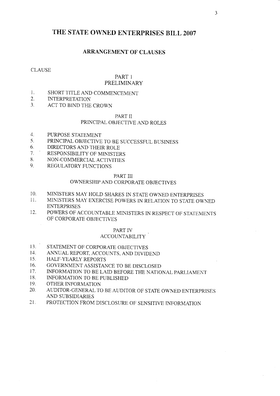# THE STATE OWNED ENTERPRISES BILL 2007

### **ARRANGEMENT OF CLAUSES**

#### **CLAUSE**

#### PART 1 PRELIMINARY

#### $1<sup>1</sup>$ SHORT TITLE AND COMMENCEMENT

- $2.$ **INTERPRETATION**
- ACT TO BIND THE CROWN  $\overline{3}$ .

#### PART II

### PRINCIPAL OBJECTIVE AND ROLES

- $4.$ PURPOSE STATEMENT
- $5<sub>1</sub>$ PRINCIPAL OBJECTIVE TO BE SUCCESSFUL BUSINESS
- 6. DIRECTORS AND THEIR ROLE
- $7.$ **RESPONSIBILITY OF MINISTERS**
- 8. NON-COMMERCIAL ACTIVITIES
- REGULATORY FUNCTIONS 9.

#### PART III

#### OWNERSHIP AND CORPORATE OBJECTIVES

- 10. MINISTERS MAY HOLD SHARES IN STATE OWNED ENTERPRISES
- MINISTERS MAY EXERCISE POWERS IN RELATION TO STATE OWNED  $11<sub>1</sub>$ **ENTERPRISES**
- POWERS OF ACCOUNTABLE MINISTERS IN RESPECT OF STATEMENTS  $12.$ OF CORPORATE OBJECTIVES

#### PART IV **ACCOUNTABILITY**

- $13.$ STATEMENT OF CORPORATE OBJECTIVES
- ANNUAL REPORT, ACCOUNTS, AND DIVIDEND  $14.$
- HALF-YEARLY REPORTS  $15.$
- 16. GOVERNMENT ASSISTANCE TO BE DISCLOSED
- INFORMATION TO BE LAID BEFORE THE NATIONAL PARLIAMENT  $17.$
- INFORMATION TO BE PUBLISHED 18.
- 19. OTHER INFORMATION
- 20. AUDITOR-GENERAL TO BE AUDITOR OF STATE OWNED ENTERPRISES AND SUBSIDIARIES
- $21.$ PROTECTION FROM DISCLOSURE OF SENSITIVE INFORMATION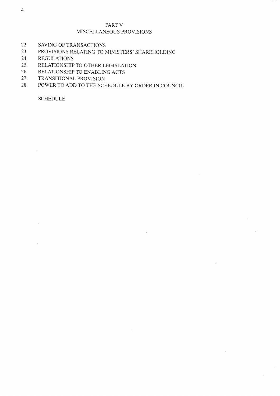# PART V MISCELLANEOUS PROVISIONS

- $22.$ SAVING OF TRANSACTIONS
- 23. PROVISIONS RELATING TO MINISTERS' SHAREHOLDING
- 24. **REGULATIONS**
- $25.$ RELATIONSHIP TO OTHER LEGISLATION
- 26. RELATIONSHIP TO ENABLING ACTS
- 27. TRANSITIONAL PROVISION
- 28. POWER TO ADD TO THE SCHEDULE BY ORDER IN COUNCIL

**SCHEDULE**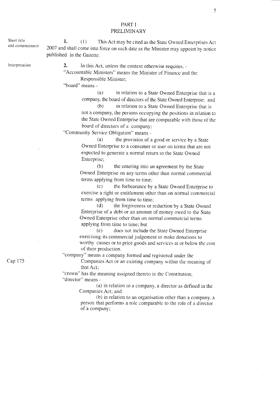Short titie and comencement Interpretation Cap 175 1. (1) This Act may be cited as the State Owned Enterprises Act 2007 and shall come into force on such date as the Minister may appoint by notice published in the Gazette. 2. In this Act, unless the context otherwise requires, - "Accountable Ministers" means the Minister of Finance and the Responsible Minister; "board" means -(a) in relation to a State Owned Enterprise that is a company, the board of directors of the State Owned Enterprise; and (b) in relation ro a State Owned Enterprise that is not a company, the persons occupying the positions in relation to the State Owned Enterprise that are comparable with those of the board of directors of a company; "Comrnunity Service Obligation" means - (a) the provision of a good or service by a State Owned Enterprise to a consumer or user on terms that are not expected to generate a normal return to the State Owned Enterprise; (b) the entering into an agreement by the State Owned Enterprise on any terms other than normal commercial terms applying from time to time;  $(c)$  the forbearance by a State Owned Enterprise to exercise a right or entitlement other than on normal commercial terms applying from time to time; (d) the forgiveness or reduction by a State Owned Enterprise of a debt or an amount of money owed to the State Owned Enterprise other than on normal commercial terms applying from time to time; but (e) does not include the State Owned Enterprise exercising its commercial judgement to make donations to worthy causes or to price goods and services at or below the cost of their production. "company" means a company formed and registered under the Companies Act or an existing company within the meaning of that Act; "crown" has the meaning assigned thereto in the Constitution; "director" means -  $(a)$  in relation to a company, a director as defined in the Companies Act; and  $(b)$  in relation to an organisation other than a company, a person that performs a role comparable to the role of a director of a company;

5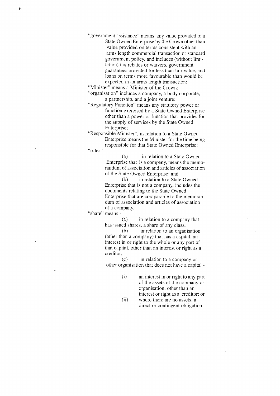"government assistance" means any value provided to a State Owned Enterprise by the Crown other than value provided on terms consistent with an arrns length commercial transaction or standard government policy, and includes (without limitation) tax rebates or waivers, govemment guarantees provided for less than fair value, and loans on terms more favourable than would be expected in an arms length transaction;

"Minister" means a Minister of the Crown; "organisation" includes a company, a body corporate, a partnership, and a joint venture;

"Regulatory Function" means any statutory power or function exercised hy a State Owned Enterprise other than a power or function that provides for the supply of services by the State Owned Enterprise;

"Responsibie Minister", in relation to a State Owned Enterprise means the Minister for the time being responsible for that State Owned Enterprise;

"rules" -

(a) in relation to a State Owned Enterprise that is a company, means the memorandum of association and articles of association of the State Owned Enterprise; and

(b) in relation to a State Owned Enterprise that is not a company, includes the documents relating to the State Owned Enterprise that are comparable to the memorandum of association and articles of association of a company.

"share" means -

(a) in relation to a company that has issued shares, a share of any class;

(b) in relation to an organisation (other than a company) that has a capital, an interest in or right to the whoie or any part of that capital, other than an interest or right as a creditor;

(c) in relation to a company or other organisation that does not have a capital -

- $(i)$  an interest in or right to any part of the assets of the company or organisation, other than an interest or right as a creditor; or
- (ii) where there are no assets, a direct or contingent obligation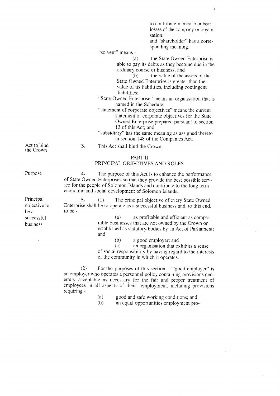|                                                             | to contribute money to or bear<br>losses of the company or organi-<br>sation;<br>and "shareholder" has a corre-<br>sponding meaning.<br>"solvent" means -                                                                                                                                                                                                                                                                                                                                                                                                                                                                                                     |
|-------------------------------------------------------------|---------------------------------------------------------------------------------------------------------------------------------------------------------------------------------------------------------------------------------------------------------------------------------------------------------------------------------------------------------------------------------------------------------------------------------------------------------------------------------------------------------------------------------------------------------------------------------------------------------------------------------------------------------------|
|                                                             | the State Owned Enterprise is<br>(a)<br>able to pay its debts as they become due in the<br>ordinary course of business; and<br>(b)<br>the value of the assets of the<br>State Owned Enterprise is greater than the<br>value of its liabilities, including contingent<br>liabilities;<br>"State Owned Enterprise" means an organisation that is<br>named in the Schedule;<br>"statement of corporate objectives" means the current<br>statement of corporate objectives for the State<br>Owned Enterprise prepared pursuant to section<br>13 of this Act; and<br>"subsidiary" has the same meaning as assigned thereto<br>in section 148 of the Companies Act. |
| Act to bind<br>the Crown                                    | 3.<br>This Act shall bind the Crown.                                                                                                                                                                                                                                                                                                                                                                                                                                                                                                                                                                                                                          |
|                                                             | PART II<br>PRINCIPAL OBJECTIVES AND ROLES                                                                                                                                                                                                                                                                                                                                                                                                                                                                                                                                                                                                                     |
| Purpose                                                     | 4.<br>The purpose of this Act is to enhance the performance<br>of State Owned Enterprises so that they provide the best possible serv-<br>ice for the people of Solomon Islands and contribute to the long term<br>economic and social development of Solomon Islands.                                                                                                                                                                                                                                                                                                                                                                                        |
| Principal<br>objective to<br>be a<br>successful<br>business | 5.<br>(1)<br>The principal objective of every State Owned<br>Enterprise shall be to operate as a successful business and, to this end,<br>to be -<br>as profitable and efficient as compa-<br>(a)<br>rable businesses that are not owned by the Crown or<br>established as statutory-bodies by an Act of Parliament;<br>and                                                                                                                                                                                                                                                                                                                                   |
|                                                             | (b)<br>a good employer; and<br>(c)<br>an organisation that exhibits a sense<br>of social responsibility by having regard to the interests<br>of the community in which it operates.                                                                                                                                                                                                                                                                                                                                                                                                                                                                           |
|                                                             | (2)<br>For the purposes of this section, a "good employer" is<br>an employer who operates a personnel policy containing provisions gen-<br>erally acceptable as necessary for the fair and proper treatment of                                                                                                                                                                                                                                                                                                                                                                                                                                                |

(a) good and safe working conditions: and

employees in all aspects of their employment, including provisions

requiring -

(b) an equal opportunities employmeni pro-

 $\bar{a}$ 

 $\sim$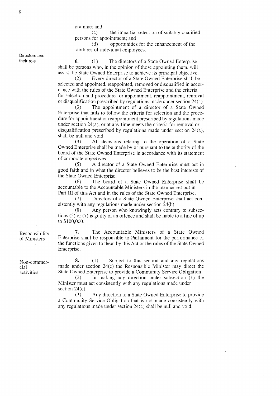gramme; and

(c) the impartial selection of suitably quaiified persons for appointment; and

(cl) opportunities for the enhancement of the abilities of individual employees.

Directors and their role

6. (1) The directors of a State Owned Enterprise shall be persons who, in the opinion of those appointing them, will assist the State Owned Enterprise to achieve its principal objective.

(2) Every director of a State Owned Enterprise shall be selected and appointed. reappointed, removed or disqualified in accordance with the rules of the State Owned Enterprise and the criteria for selection and procedure for appointment, reappointment, removal or disqualification prescribed by regulations made under section  $24(a)$ .

(3) The appointment of a director of a State Ovrned Enterprise that fails to follow the criteria for selection and the procedure for appointment or reappointment prescribed by regulations made under section  $24(a)$ , or at any time meets the criteria for removal or disqualification prescribed by regulations made under section  $24(a)$ , shall be null and void.

(4) All decisions relating to the operation of a State Owned Enterprise shall be made by or pursuant to the authority of the board of the State Owned Enterprise in accordance with its statement of corporate objcctives.

(5) A director of a State Owned Enterprise must act in good faith and in what the director believes to be the best interests of the State Owned Enterprise.

(6) The board of a State Owned Enterprise shall be accountable to the Accountable Ministers in the manner set out in Part III of this Act and in the rules of the State Owned Enterprise.

(7) Directors of a State Owned Enterprise shall act consistently with any regulations made under section  $24(b)$ .

(8) Any person who knowingly acts contrary to subsections (5) or (7) is guilty of an offence and shall be liabie to a fine of up to \$100,000.

7. The Accountable Ministers of a State Owned Enterprise shall be responsible to Parliament for the performance of the functions given to them by this Act or the rules of the State Owned Enterprise.

8.  $(1)$  Subject to this section and any regulations made under section  $24(c)$  the Responsible Minister may direct the State Owned Enterprise to provide a Community Service Obligation.

 $(2)$  In making any direction under subsection  $(1)$  the Minister must act consistently with any regulations made under section 24(c).

(3) Any direction to a State Owned Enterprise to provide a Community Service Obligation that is not made consistently with any regulations made under section  $24(c)$  shall be null and void.

Non-commercial activities

Responsibility of Ministers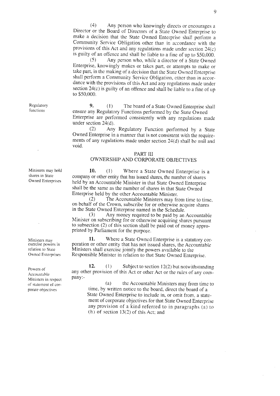$(4)$ Any person who knowingly directs or encourages a Director or the Board of Directors of a State Owned Enterprise to make a decision that the State Owned Enterprise shall perform a Community Service Obligation other than in accordance with the provisions of this Act and any regulations made under section  $24(c)$ is guilty of an offence and shall be liable to a fine of up to \$50,000.

 $(5)$ Any person who, while a director of a State Owned Enterprise, knowingly makes or takes part, or attempts to make or take part, in the making of a decision that the State Owned Enterprise shall perform a Community Service Obligation, other than in accordance with the provisions of this Act and any regulations made under section 24(c) is guilty of an offence and shall be liable to a fine of up to \$50,000.

9.  $(1)$ The board of a State Owned Enterprise shall ensure any Regulatory Functions performed by the State Owned

Enterprise are performed consistently with any regulations made under section 24(d).

 $(2)$ Any Regulatory Function performed by a State Owned Enterprise in a manner that is not consistent with the requirements of any regulations made under section 24(d) shall be null and void.

#### PART III

# OWNERSHIP AND CORPORATE OBJECTIVES

10.  $(1)$ Where a State Owned Enterprise is a company or other entity that has issued shares, the number of shares held by an Accountable Minister in that State Owned Enterprise shall be the same as the number of shares in that State Owned Enterprise held by the other Accountable Minister.

 $(2)$ The Accountable Ministers may from time to time, on behalf of the Crown, subscribe for or otherwise acquire shares in the State Owned Enterprise named in the Schedule.

 $(3)$ Any money required to be paid by an Accountable Minister on subscribing for or otherwise acquiring shares pursuant to subsection (2) of this section shall be paid out of money appropriated by Parliament for the purpose.

Where a State Owned Enterprise is a statutory cor-11. poration or other entity that has not issued shares, the Accountable Ministers shall exercise jointly the powers available to the Responsible Minister in relation to that State Owned Enterprise.

12.  $(1)$ Subject to section  $12(2)$  but notwithstanding any other provision of this Act or other Act or the rules of any company:-

> the Accountable Ministers may from time to  $(a)$ time, by written notice to the board, direct the board of a State Owned Enterprise to include in, or omit from, a statement of corporate objectives for that State Owned Enterprise any provision of a kind referred to in paragraphs (a) to  $(h)$  of section 13(2) of this Act; and

Regulatory functions

Ministers may hold shares in State **Owned Enterprises** 

Ministers may exercise powers in relation to State Owned Enterprises

Powers of Accountable Ministers in respect of statement of corporate objectives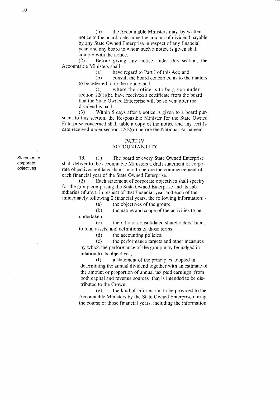(b) the Accountable Ministers may, by written notice to the board, determine the amount of dividend payable by any State Owned Enterprise in respect of any financial year, and any board to whom such a notice is given shall comply with the notice.

(2) Before giving any notice under this section, the Accountable Ministers shall -

(a) have regard to Part I of this Act; and

(b) consult the board concerned as to the matters to be referred to in the notice; and

(c) where the notice is to be given under section  $12(1)(b)$ , have received a certificate from the board that the State Owned Enterprise will be solvent after the dividend is paid.

(3) Within 5 days after a notice is given to a board pursuant to this section, the Responsible Minister for the State Owned Enterprise concerned shall table a copy of the notice and any certificate received under section l2(2)(c) before the National Parliament.

#### PART IV

### ACCOUNTABILITY

13. (1) The board of every State Owned Enterprise shall deliver to the accountable Ministers a draft statement of corporate objectives not later than 1 month before the commencement of each financial year of the State Owned Enterprise.

(2) Each statement of corporate objectives shall specify for the group comprising the State Owned Enterprise and its subsidiaries (if any), in respect of that financial year and each of the immediately following 2 financial years, the following information: -

(a) the objectives of the group;

(b) the nature and scope of the activities to be undertaken;

(c) the ratio of consolidated shareholders' funds to total assets, and definitions of those terms;

(d) the accounting policies;

(e) the performance targets and other measures by which the performance of the group may be judged in relation to its objectives;

(f) a statement of the principles adopted in determining the annual dividend together with an estimate of the amount or proportion of annual tax paid earnings (from both capital and revenue sources) that is intended to be distributed to the Crown;

(g) the kind of information to be provided to the Accountable Ministers by the State Owned Enterprise during the course of those financial years, including the information

Statement of corporate objectives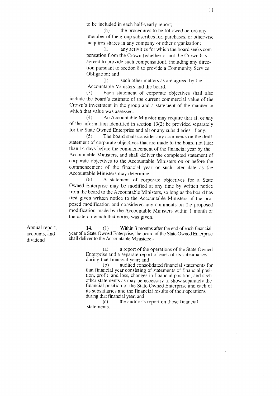to be included in each half-yearly report;

(h) the procedures to be followed before any member of the group subscribes for, purchases, or otherwise acquires shares in any company or other organisation;

(i) any activities for which the board seeks compensation from the Crown (whether or not the Crown has agreed to provide such compensation), including any direction pursuant to section 8 to provide a Community Service Obligation; and

(i) such other matters as are agreed by the Accountable Ministers and the board.

 $(3)$  Each statement of corporate objectives shall also include the board's estimate of the current commercial value of ihe Crown's investment in the group and a statement of the manner in which that value was assessed.

 $(4)$  An Accountable Minister may require that all or any of the information identified in section 13(2) be provided separately for the State Owned Enterprise and all or any subsidiaries, if any.

(5) The board shall consider anv commenrs on the draft statement of corporate objectives that are made to the board not later than 14 days before the commencement of the financial year by the Accountabie Ministers, and shall deliver the cornpleted statement of corporate objectives to the Accountable Ministers on or before the conrmencement of the financial year or such later date as the Accountable Ministers may determine.

(6) A statement of corporate objectives for a State Owned Enterprise may be modified at any time by written notice from the board to the Accountable Ministers, so long as the board has first given written notice to the Accountable Ministers of the proposed modification and considered any conments on the proposed modification made by the Accountable Ministers within I month of the date on which that notice was given.

Annual report, accounts, and dividend

14. (1) Within 3 months after the end of each financial year of a State Owned Enterprise, the board of the State Owned Enterprise shall deliver to the Accountable Ministers: -

> (a) a report of the operations of the State Owned Enterprise and a separate report of each of its subsidiaries during that financial year; and<br>(b) audited consol

> audited consolidated financial statements for that financial year consisting of statements of financial position, profit and loss, changes in financial position, and such other statements as mav be necessarv to show senaratelv the financial position of the State Owned Enterprise and each of its subsidiaries and the financial results of their operations during that financial year; and

 $(c)$  the auditor's report on those financial statements.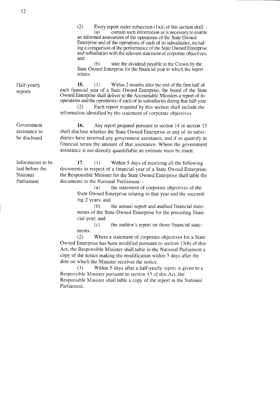t2

Half-yearly reports

Government assistance to be disclosed

Information to be laid before the National Parliament

(b) state the divrdend payable to the Crown by the State Owned Enterprise for the financial year to which the reporl rclates.

15. (1) Within 2 months after the end of the first half of each financial year of a State Owned Enterprise, the board of the State Owned Enterprise shall deliver to the Accountable Ministers a report of its operations and the operations of each of its subsidiaries during that half-year.

(2) Each report required by this section shall include the information identified by the statement of corporate objectives.

16. Any report prepared pursuant to section 14 or section 15 shall disclose whether the State Owned Enterprise or any of its subsidiaries have received any government assistance, and if so quantify in financial terms the amount of that assistance. Where the government assistance is not directly quantifiable an estimate must be made.

 $\sqrt{17}$ . (1) Within 5 days of receiving all the following documents in respect of a financial year of a State Owned Enterprise, the Responsible Minister for the State Owned Enterprise shall table the documents in the National Parliament: -

> (a) the statement of corporate obiectives of the State Owned Enterprise relating to that year and the succeeding 2 years; and

> (b) the annual report and audited financial statements of the State Owned Enterprise for the preceding financial year; and

(c) the auditor's report on those financial statements.

(2) Where a statement of corporate objectives for a State Owned Enterprise has been modified pursuant to section  $13(6)$  of this Act, the Responsible Minister shall table in the National Parliament a copy of the notice making the modification within 5 days after the date on which the Minister receives the notice.

(3) Within 5 days after a half-yearly report is given to a Responsible Minister pursuant to section 15 of this Act, the Responsible Minister shall table a copy of the report in the National Parliament.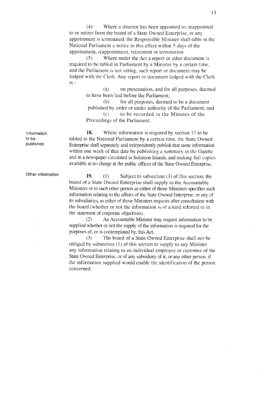(4) Where a director has been appointed to. reappointed to or retires fronr the board of a State Owned Enterprise, or any appointment is terminated, the Responsible Minister shall table in the National Parliament a notice to this effect within 5 days of the appointment, reappointment, retirement or termination.

(5) Where under the Act a report or olher document is required to be tabled in Parliament by a Minister by a certain time, and the Parliament is not sitting, such report or document may be lodged with the Clerk. Any report or document lodged with the Clerk is-

> (a) on presentation. and for all purposes, deerned to have been laid before the Parliament;

> $(b)$  for all purposes, deemed to be a document published by order or under authority of the Parliament; and (c) to be recorded in the N{inutes of the Proceedings of the Parliament.

18. Where information is required by section 17 to be tabled in the National Parliament by a certain time, the State Owned Enterprise shall separately and independently publish that same information within one week of that date by publishing a summary in the Gazette and in a newspaper circulated in Solomon Islands, and making full copies available at no charge at the public offices of thc State Owned Enterprise.

19. (1) Subject to subsection  $(3)$  of this section, the board of a State Owned Enterprise shali supply to the Accountable Ministers or to such other person as either of those Ministers specifies such information relating to the affairs of the State Owned Enterprise, or any of its subsidiaries, as either of those Ministers requests after consultation with the board (whether or not the information is of a kind referred to in the statement of corporate objectives).

(2) An Accountable Minister may request information to be supplied whether or not the supply of the information is required for the purposes of, or is contemplated by, this Act.

(3) The board of a State Owned Enterprise shall not be obliged by subsection  $(1)$  of this section to supply to any Minister any information relating to an individual employee or customer of the State Owned Enterprise, or of any subsidiary of it, or any other person, if the information supplied would enable the identification of the person concerned.

Information to be published

Other information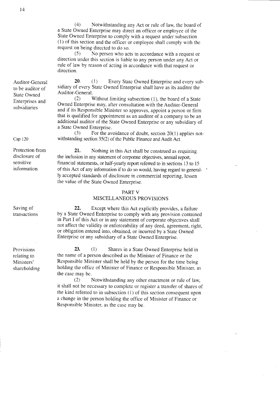(4) Notwithstanding any.Act or rule of law, the board of a State Owned Enterprise may direct an officer or employee of the State Owned Enterprise to comply with a request under subsection (1) of this section and the officer or employee shall comply with the request on being directed to do so.<br>(5) No person who act

No person who acts in accordance with a request or direction under this section is liable to any person under any Act or rule of law by reason of acting in accordance with that request or direction.

20. (1) Every State Owned Enterprise and every subsidiary of every State Owned Enterprise shall have as its auditor the Auditor-General.

(2) Without limiting subsection (1), the board of a State Owned Enterprise may, after consultation with the Auditor-General and if its Responsible Minister so approves, appoint a person or firm that is qualified for appointment as an auditor of a company to be an additional auditor of the State Owned Enterprise or any subsidiary of a State Owned Enterprise.

 $(3)$  For the avoidance of doubt, section 20(1) applies notwithstanding section 35(2) of the Public Finance and Audit Act.

21. Nothing in this Act shall be construed as requiring the inciusion in any statement of corporate objectives, annual report, financial statements, or half-yearly report referred to in sections 13 to 15 of this Act of any information if to do so would, having regard to generally accepted standards of disclosure in commercial reporting, lessen the value of the State Owned Enterprise.

#### PART V

#### MISCELLANEOUS PROVISIONS

22. Except where this Act explicitiy provides, a failure by a State Owned Enierprise to comply with any provision contained in Part I of this Act or in any statement of corporate objectives shali not affect the validity or enforceability of any deed, agreement, right, or obligation entered into, obtained, or incurred by a State Owned Enterprise or any subsidiary of a State Owned Enterprise.

23. (1) Shares in a State Owned Enterprise held in the name of a person described as the Minister of Finance or the Responsible Minister shall be heid by the person for the time being holding the office of Minister of Finance or Responsible Minister, as the case may be.

(2) Notwithstanding any other enactment or rule of law, it shall not be necessary to complete or register a transfer of shares of the kind referred to in subsection  $(1)$  of this section consequent upon a change in the person holding the office of Minister of Finance or Responsible Minister, as the case may be,

Cap 120

Protection from disclosure of sensitive information

Saving of transactions

Provisions relating to Ministers' sharehoiding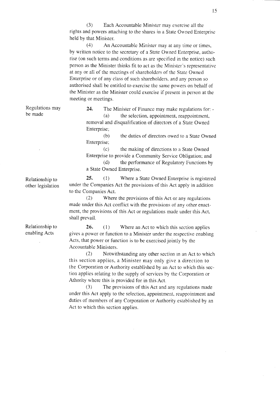(3) Each Accountabie N{inister may exercise all the rights and powers attaching to the shares in a State Owned Enterprise held by that Minister.

(4) An Accountable Minister rnay at any time or times, by written notice to the secretary of a State Owned Enterprise, authorise (on such terms and conditions as are specified in the notice) such person as the Minister thinks fit to act as the Minister's representative at any or all of the meetings of shareholders of the State Owned Enterprise or of any class of such shareholders, and any person so authorised shall be entitled to exercise the same powers on behalf of the Minister as the Minister could exercise if present in person at the meeting or meetings.

Regulations may be made

24. The Minister of Finance may make regulations for: - $(a)$  the selection, appointment, reappointment, removal and disqualification of directors of a State Owned Enterprise;

(b) the duties of directors owed to a State Owned Enterprise;

(c) the making of directions to a State Owned Enterprise to provide a Community Service Obligation; and

(d) the performance of Regulatory Functions by a State Owned Enterprise.

25. (1) Where a State Owned Enterprise is registered under the Companies Act the provisions of this Act apply in addition to the Companies Act.

(2) Where the provisions of this Act or any regulations made under this Act conflict with the provisions of any other enactment, the provisions of this Act or regulations made under this Act, shall prevail.

**26.** (1) Where an Act to which this section applies gives a power or function to a Minister under the respective enabling Acts, that power or function is to be exercised jointly by the Accountable Ministers.

 $(2)$  Notwithstanding any other section in an Act to which this section applies, a Minister may only give a direction to the Corporation or Authority established by an Act to which this section applies relating to the supply of services by the Corporation or Athority where this is provided for in this Act.

(3) The prcvisions of this Act and any regulations made under this Act apply to the selection, appointment, rcappointment and duties of members of any Corporation or Authority established by an Act to which this section applies.

Relationship to other legislation

Relationship to enabling Acts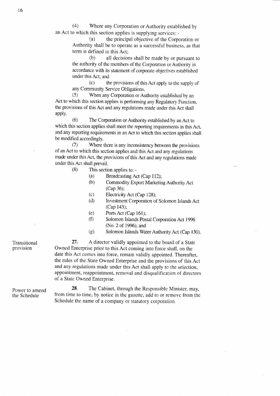(4) Where any Corporation or Authority estabiished by an Act to which this section applies is supplying services: -

> (a) the principal objecrive of the Corporation or Authority shall be to operate as a successful business, as that term is defined in this Act;

(b) all decisions shall be made by or pursuant to the authority of the members of the Corporation or Authority in accordance with its statement of corporate objectives established under this Act; and

(c) the provisions of this Acr apply to the supply of any Community Service Obligations.

(5) When any Corporation or Authority established by an Act to which this section applies is performing any Regulatory Function, the provisions of this Act and any regulations made under this Act shall apply.

(6) The Corporation orAuthority established by an Act to which this section applies shall meet the reporting requirements in this Act, and any reporting requirements in an Act to which this section applies shall be modified accordingly.

(7) Where there is any inconsistency between the provisions of an Act to which this section applies and this Act and any regulations made under this Act, the provisions of this Act and any regulations made under this Act shall prevail.

- (8) This section applies to:
	- (a) Broadcasting Act (Cap 112);
	- (b) Commodity Export Marketing Authority Act (Cap 36);
	- (c) Electricity Act (Cap 128);
	- (d) Investment Corporation of Solomon Islands Act (Cap 143);
	- (e) PortsAct (Cap 161);
	- (f) Solomon Islands Postal Corporation Act 1996 (No. 2 of 1996); and
	- (g) Solomon Islands Water Authority Act (Cap 130).

27. A director validly appointed to the board of a State Owned Enterprise prior to this Act coming into force shall, on the date this Act comes into force, remain validly appointed. Thereafter, the rules of the State Owned Enterprise and the provisions of this Act and any regulations made under this Act shall apply to the selection, appointment, reappointrnent, removal and disqualification of directors of a State Owned Enterprise.

Power to amend the Schedule

Transitional provision

> 28. The Cabinet, through the Responsible Minister, may, from time to time, by notice in the gazette, add to or remove fiom the Schedule the name of a company or statutory corporation.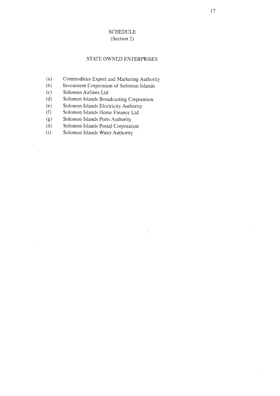## **SCHEDULE** (Section 2)

## STATE OWNED ENTERPRISES

- $(a)$ Commodities Export and Marketing Authority
- $(b)$ Investment Corporation of Solomon Islands
- Solomon Airlines Ltd  $(c)$
- Solomon Islands Broadcasting Corporation  $(d)$
- Solomon Islands Electricity Authority  $(e)$
- Solomon Islands Home Finance Ltd  $(f)$
- Solomon Islands Ports Authority  $(g)$
- Solomon Islands Postal Corporation  $(h)$
- Solomon Islands Water Authority  $(i)$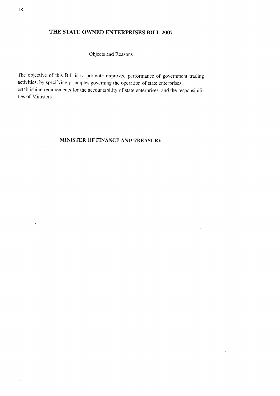# THE STATE OWNED ENTERPRISES BILL 2007

Objects and Reasons

The objective of this Bill is to promote improved performance of government trading activities, by specifying principles governing the operation of state enterprises; establishing requirements for the accountability of state enterprises, and the responsibilities of Ministers.

# MINISTER OF FINANCE AND TREASURY